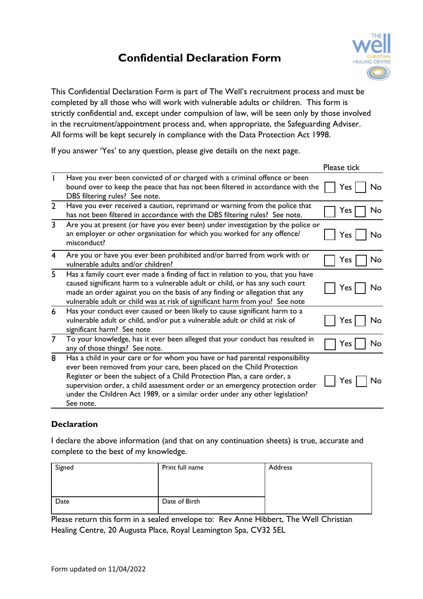# **Confidential Declaration Form**



This Confidential Declaration Form is part of The Well's recruitment process and must be completed by all those who will work with vulnerable adults or children. This form is strictly confidential and, except under compulsion of law, will be seen only by those involved in the recruitment/appointment process and, when appropriate, the Safeguarding Adviser. All forms will be kept securely in compliance with the Data Protection Act 1998.

If you answer 'Yes' to any question, please give details on the next page.

|                |                                                                                                                                                                                                                                                                                                                                                                                                                | Please tick |
|----------------|----------------------------------------------------------------------------------------------------------------------------------------------------------------------------------------------------------------------------------------------------------------------------------------------------------------------------------------------------------------------------------------------------------------|-------------|
|                | Have you ever been convicted of or charged with a criminal offence or been<br>bound over to keep the peace that has not been filtered in accordance with the<br>DBS filtering rules? See note.                                                                                                                                                                                                                 | No<br>Yes:  |
| $\overline{2}$ | Have you ever received a caution, reprimand or warning from the police that<br>has not been filtered in accordance with the DBS filtering rules? See note.                                                                                                                                                                                                                                                     | No<br>Yes   |
| $\overline{3}$ | Are you at present (or have you ever been) under investigation by the police or<br>an employer or other organisation for which you worked for any offence/<br>misconduct?                                                                                                                                                                                                                                      | Yes<br>No   |
| $\overline{4}$ | Are you or have you ever been prohibited and/or barred from work with or<br>vulnerable adults and/or children?                                                                                                                                                                                                                                                                                                 | Yes<br>No   |
| 5              | Has a family court ever made a finding of fact in relation to you, that you have<br>caused significant harm to a vulnerable adult or child, or has any such court<br>made an order against you on the basis of any finding or allegation that any<br>vulnerable adult or child was at risk of significant harm from you? See note                                                                              | No<br>Yes.  |
| 6              | Has your conduct ever caused or been likely to cause significant harm to a<br>vulnerable adult or child, and/or put a vulnerable adult or child at risk of<br>significant harm? See note                                                                                                                                                                                                                       | No<br>Yes   |
| $\overline{7}$ | To your knowledge, has it ever been alleged that your conduct has resulted in<br>any of those things? See note.                                                                                                                                                                                                                                                                                                | No<br>Yes   |
| 8              | Has a child in your care or for whom you have or had parental responsibility<br>ever been removed from your care, been placed on the Child Protection<br>Register or been the subject of a Child Protection Plan, a care order, a<br>supervision order, a child assessment order or an emergency protection order<br>under the Children Act 1989, or a similar order under any other legislation?<br>See note. | Yes<br>No   |

### **Declaration**

I declare the above information (and that on any continuation sheets) is true, accurate and complete to the best of my knowledge.

| Signed | Print full name | Address |
|--------|-----------------|---------|
|        |                 |         |
|        |                 |         |
| Date   | Date of Birth   |         |
|        |                 |         |

Please return this form in a sealed envelope to: Rev Anne Hibbert, The Well Christian Healing Centre, 20 Augusta Place, Royal Leamington Spa, CV32 5EL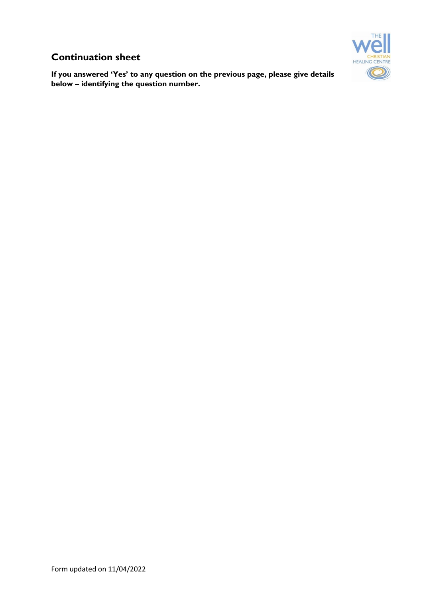### **Continuation sheet**

**If you answered 'Yes' to any question on the previous page, please give details below – identifying the question number.**